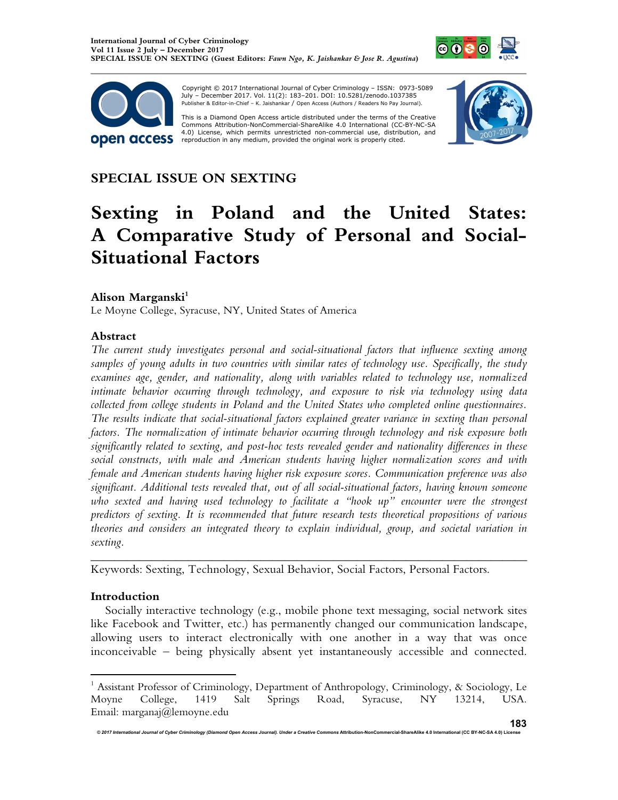



 Copyright © 2017 International Journal of Cyber Criminology – ISSN: 0973-5089 July – December 2017. Vol. 11(2): 183–201. DOI: 10.5281/zenodo.1037385 Publisher & Editor-in-Chief – K. Jaishankar / Open Access (Authors / Readers No Pay Journal).

This is a Diamond Open Access article distributed under the terms of the Creative Commons Attribution-NonCommercial-ShareAlike 4.0 International (CC-BY-NC-SA 4.0) License, which permits unrestricted non-commercial use, distribution, and<br>reproduction in any medium, provided the original work is properly cited.



# **SPECIAL ISSUE ON SEXTING**

# **Sexting in Poland and the United States: A Comparative Study of Personal and Social-Situational Factors**

# **Alison Marganski<sup>1</sup>**

Le Moyne College, Syracuse, NY, United States of America

#### **Abstract**

*The current study investigates personal and social-situational factors that influence sexting among samples of young adults in two countries with similar rates of technology use. Specifically, the study examines age, gender, and nationality, along with variables related to technology use, normalized intimate behavior occurring through technology, and exposure to risk via technology using data collected from college students in Poland and the United States who completed online questionnaires. The results indicate that social-situational factors explained greater variance in sexting than personal factors. The normalization of intimate behavior occurring through technology and risk exposure both significantly related to sexting, and post-hoc tests revealed gender and nationality differences in these social constructs, with male and American students having higher normalization scores and with female and American students having higher risk exposure scores. Communication preference was also significant. Additional tests revealed that, out of all social-situational factors, having known someone who sexted and having used technology to facilitate a "hook up" encounter were the strongest predictors of sexting. It is recommended that future research tests theoretical propositions of various theories and considers an integrated theory to explain individual, group, and societal variation in sexting.* 

Keywords: Sexting, Technology, Sexual Behavior, Social Factors, Personal Factors.

#### **Introduction**

 $\overline{a}$ 

Socially interactive technology (e.g., mobile phone text messaging, social network sites like Facebook and Twitter, etc.) has permanently changed our communication landscape, allowing users to interact electronically with one another in a way that was once inconceivable – being physically absent yet instantaneously accessible and connected.

*\_\_\_\_\_\_\_\_\_\_\_\_\_\_\_\_\_\_\_\_\_\_\_\_\_\_\_\_\_\_\_\_\_\_\_\_\_\_\_\_\_\_\_\_\_\_\_\_\_\_\_\_\_\_\_\_\_\_\_\_\_\_\_\_\_\_\_\_\_\_\_\_* 

<sup>&</sup>lt;sup>1</sup> Assistant Professor of Criminology, Department of Anthropology, Criminology, & Sociology, Le Moyne College, 1419 Salt Springs Road, Syracuse, NY 13214, USA. Email: marganaj@lemoyne.edu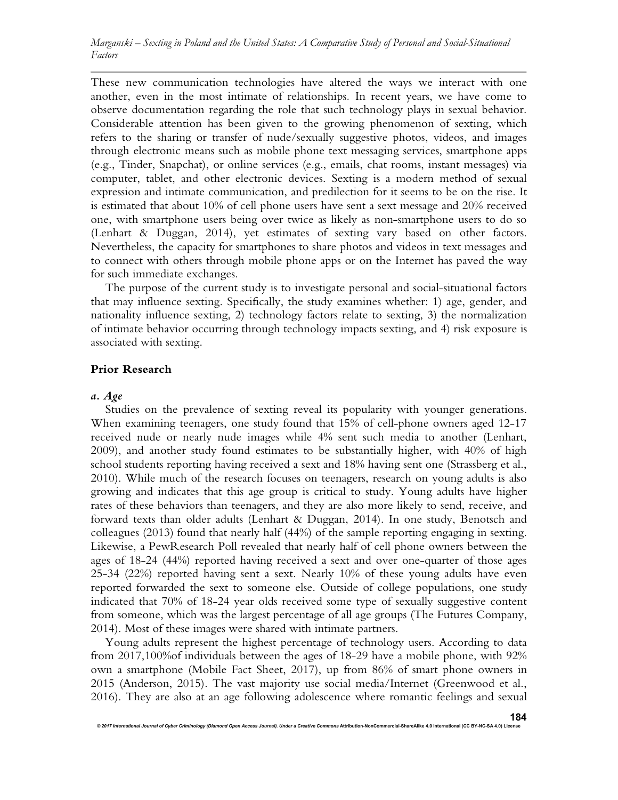These new communication technologies have altered the ways we interact with one another, even in the most intimate of relationships*.* In recent years, we have come to observe documentation regarding the role that such technology plays in sexual behavior. Considerable attention has been given to the growing phenomenon of sexting, which refers to the sharing or transfer of nude/sexually suggestive photos, videos, and images through electronic means such as mobile phone text messaging services, smartphone apps (e.g., Tinder, Snapchat), or online services (e.g., emails, chat rooms, instant messages) via computer, tablet, and other electronic devices. Sexting is a modern method of sexual expression and intimate communication, and predilection for it seems to be on the rise. It is estimated that about 10% of cell phone users have sent a sext message and 20% received one, with smartphone users being over twice as likely as non-smartphone users to do so (Lenhart & Duggan, 2014), yet estimates of sexting vary based on other factors. Nevertheless, the capacity for smartphones to share photos and videos in text messages and to connect with others through mobile phone apps or on the Internet has paved the way for such immediate exchanges.

The purpose of the current study is to investigate personal and social-situational factors that may influence sexting. Specifically, the study examines whether: 1) age, gender, and nationality influence sexting, 2) technology factors relate to sexting, 3) the normalization of intimate behavior occurring through technology impacts sexting, and 4) risk exposure is associated with sexting.

#### **Prior Research**

#### *a. Age*

Studies on the prevalence of sexting reveal its popularity with younger generations. When examining teenagers, one study found that 15% of cell-phone owners aged 12-17 received nude or nearly nude images while 4% sent such media to another (Lenhart, 2009), and another study found estimates to be substantially higher, with 40% of high school students reporting having received a sext and 18% having sent one (Strassberg et al., 2010). While much of the research focuses on teenagers, research on young adults is also growing and indicates that this age group is critical to study. Young adults have higher rates of these behaviors than teenagers, and they are also more likely to send, receive, and forward texts than older adults (Lenhart & Duggan, 2014). In one study, Benotsch and colleagues (2013) found that nearly half (44%) of the sample reporting engaging in sexting. Likewise, a PewResearch Poll revealed that nearly half of cell phone owners between the ages of 18-24 (44%) reported having received a sext and over one-quarter of those ages 25-34 (22%) reported having sent a sext. Nearly 10% of these young adults have even reported forwarded the sext to someone else. Outside of college populations, one study indicated that 70% of 18-24 year olds received some type of sexually suggestive content from someone, which was the largest percentage of all age groups (The Futures Company, 2014). Most of these images were shared with intimate partners.

Young adults represent the highest percentage of technology users. According to data from 2017,100%of individuals between the ages of 18-29 have a mobile phone, with 92% own a smartphone (Mobile Fact Sheet, 2017), up from 86% of smart phone owners in 2015 (Anderson, 2015). The vast majority use social media/Internet (Greenwood et al., 2016). They are also at an age following adolescence where romantic feelings and sexual

*© 2017 International Journal of Cyber Criminology (Diamond Open Access Journal). Under a Creative Commons* **Attribution-NonCommercial-ShareAlike 4.0 International (CC BY-NC-SA 4.0) License**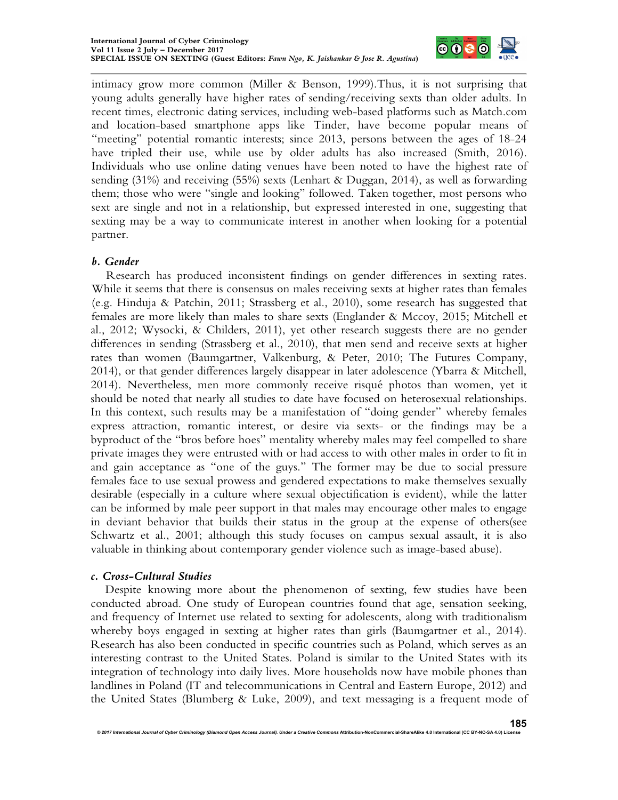

intimacy grow more common (Miller & Benson, 1999).Thus, it is not surprising that young adults generally have higher rates of sending/receiving sexts than older adults. In recent times, electronic dating services, including web-based platforms such as Match.com and location-based smartphone apps like Tinder, have become popular means of "meeting" potential romantic interests; since 2013, persons between the ages of 18-24 have tripled their use, while use by older adults has also increased (Smith, 2016). Individuals who use online dating venues have been noted to have the highest rate of sending  $(31\%)$  and receiving  $(55\%)$  sexts (Lenhart & Duggan, 2014), as well as forwarding them; those who were "single and looking" followed. Taken together, most persons who sext are single and not in a relationship, but expressed interested in one, suggesting that sexting may be a way to communicate interest in another when looking for a potential partner.

# *b. Gender*

Research has produced inconsistent findings on gender differences in sexting rates. While it seems that there is consensus on males receiving sexts at higher rates than females (e.g. Hinduja & Patchin, 2011; Strassberg et al., 2010), some research has suggested that females are more likely than males to share sexts (Englander & Mccoy, 2015; Mitchell et al., 2012; Wysocki, & Childers, 2011), yet other research suggests there are no gender differences in sending (Strassberg et al., 2010), that men send and receive sexts at higher rates than women (Baumgartner, Valkenburg, & Peter, 2010; The Futures Company, 2014), or that gender differences largely disappear in later adolescence (Ybarra & Mitchell, 2014). Nevertheless, men more commonly receive risqué photos than women, yet it should be noted that nearly all studies to date have focused on heterosexual relationships. In this context, such results may be a manifestation of "doing gender" whereby females express attraction, romantic interest, or desire via sexts- or the findings may be a byproduct of the "bros before hoes" mentality whereby males may feel compelled to share private images they were entrusted with or had access to with other males in order to fit in and gain acceptance as "one of the guys." The former may be due to social pressure females face to use sexual prowess and gendered expectations to make themselves sexually desirable (especially in a culture where sexual objectification is evident), while the latter can be informed by male peer support in that males may encourage other males to engage in deviant behavior that builds their status in the group at the expense of others(see Schwartz et al., 2001; although this study focuses on campus sexual assault, it is also valuable in thinking about contemporary gender violence such as image-based abuse).

#### *c. Cross-Cultural Studies*

Despite knowing more about the phenomenon of sexting, few studies have been conducted abroad. One study of European countries found that age, sensation seeking, and frequency of Internet use related to sexting for adolescents, along with traditionalism whereby boys engaged in sexting at higher rates than girls (Baumgartner et al., 2014). Research has also been conducted in specific countries such as Poland, which serves as an interesting contrast to the United States. Poland is similar to the United States with its integration of technology into daily lives. More households now have mobile phones than landlines in Poland (IT and telecommunications in Central and Eastern Europe, 2012) and the United States (Blumberg & Luke, 2009), and text messaging is a frequent mode of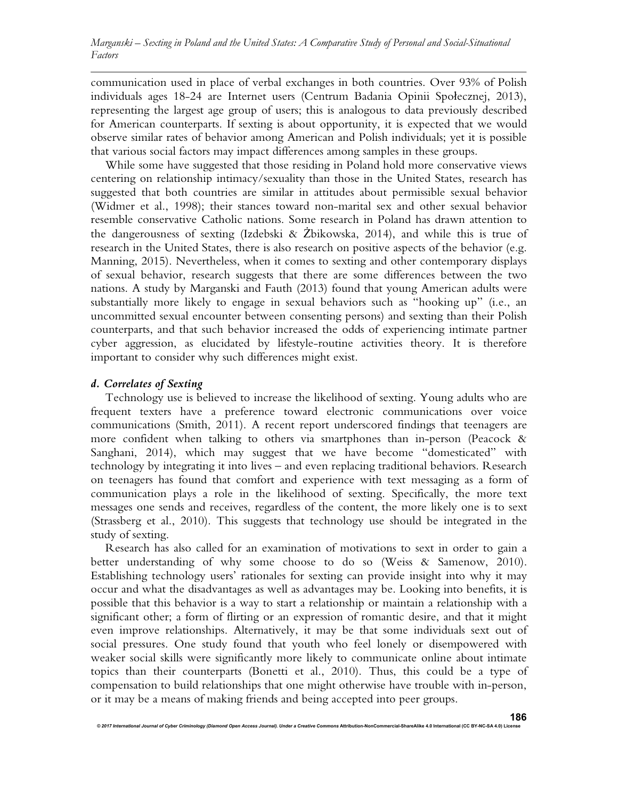communication used in place of verbal exchanges in both countries. Over 93% of Polish individuals ages 18-24 are Internet users (Centrum Badania Opinii Społecznej, 2013), representing the largest age group of users; this is analogous to data previously described for American counterparts. If sexting is about opportunity, it is expected that we would observe similar rates of behavior among American and Polish individuals; yet it is possible that various social factors may impact differences among samples in these groups.

While some have suggested that those residing in Poland hold more conservative views centering on relationship intimacy/sexuality than those in the United States, research has suggested that both countries are similar in attitudes about permissible sexual behavior (Widmer et al., 1998); their stances toward non-marital sex and other sexual behavior resemble conservative Catholic nations. Some research in Poland has drawn attention to the dangerousness of sexting (Izdebski & Żbikowska, 2014), and while this is true of research in the United States, there is also research on positive aspects of the behavior (e.g. Manning, 2015). Nevertheless, when it comes to sexting and other contemporary displays of sexual behavior, research suggests that there are some differences between the two nations. A study by Marganski and Fauth (2013) found that young American adults were substantially more likely to engage in sexual behaviors such as "hooking up" (i.e., an uncommitted sexual encounter between consenting persons) and sexting than their Polish counterparts, and that such behavior increased the odds of experiencing intimate partner cyber aggression, as elucidated by lifestyle-routine activities theory. It is therefore important to consider why such differences might exist.

### *d. Correlates of Sexting*

Technology use is believed to increase the likelihood of sexting. Young adults who are frequent texters have a preference toward electronic communications over voice communications (Smith, 2011). A recent report underscored findings that teenagers are more confident when talking to others via smartphones than in-person (Peacock & Sanghani, 2014), which may suggest that we have become "domesticated" with technology by integrating it into lives – and even replacing traditional behaviors. Research on teenagers has found that comfort and experience with text messaging as a form of communication plays a role in the likelihood of sexting. Specifically, the more text messages one sends and receives, regardless of the content, the more likely one is to sext (Strassberg et al., 2010). This suggests that technology use should be integrated in the study of sexting.

Research has also called for an examination of motivations to sext in order to gain a better understanding of why some choose to do so (Weiss & Samenow, 2010). Establishing technology users' rationales for sexting can provide insight into why it may occur and what the disadvantages as well as advantages may be. Looking into benefits, it is possible that this behavior is a way to start a relationship or maintain a relationship with a significant other; a form of flirting or an expression of romantic desire, and that it might even improve relationships. Alternatively, it may be that some individuals sext out of social pressures. One study found that youth who feel lonely or disempowered with weaker social skills were significantly more likely to communicate online about intimate topics than their counterparts (Bonetti et al., 2010). Thus, this could be a type of compensation to build relationships that one might otherwise have trouble with in-person, or it may be a means of making friends and being accepted into peer groups.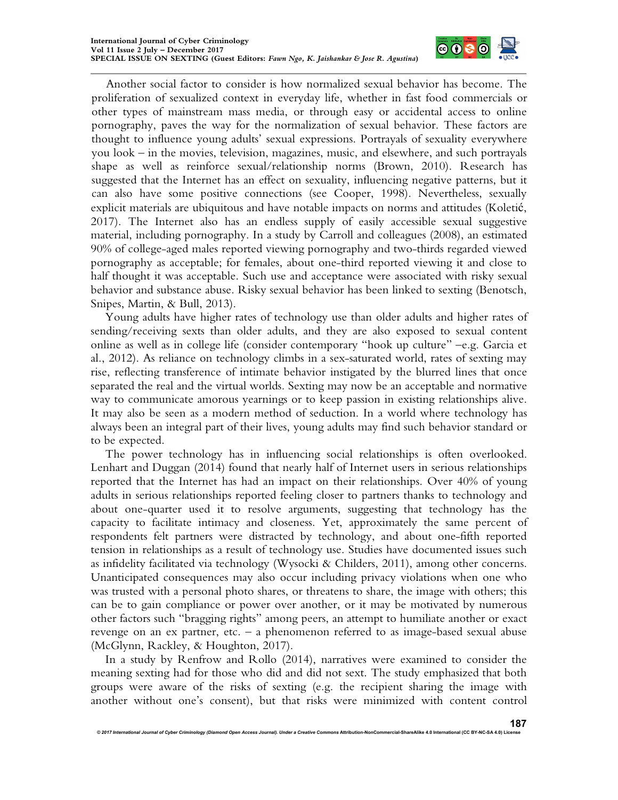

Another social factor to consider is how normalized sexual behavior has become. The proliferation of sexualized context in everyday life, whether in fast food commercials or other types of mainstream mass media, or through easy or accidental access to online pornography, paves the way for the normalization of sexual behavior. These factors are thought to influence young adults' sexual expressions. Portrayals of sexuality everywhere you look – in the movies, television, magazines, music, and elsewhere, and such portrayals shape as well as reinforce sexual/relationship norms (Brown, 2010). Research has suggested that the Internet has an effect on sexuality, influencing negative patterns, but it can also have some positive connections (see Cooper, 1998). Nevertheless, sexually explicit materials are ubiquitous and have notable impacts on norms and attitudes (Koletić, 2017). The Internet also has an endless supply of easily accessible sexual suggestive material, including pornography. In a study by Carroll and colleagues (2008), an estimated 90% of college-aged males reported viewing pornography and two-thirds regarded viewed pornography as acceptable; for females, about one-third reported viewing it and close to half thought it was acceptable. Such use and acceptance were associated with risky sexual behavior and substance abuse. Risky sexual behavior has been linked to sexting (Benotsch, Snipes, Martin, & Bull, 2013).

Young adults have higher rates of technology use than older adults and higher rates of sending/receiving sexts than older adults, and they are also exposed to sexual content online as well as in college life (consider contemporary "hook up culture" –e.g. Garcia et al., 2012). As reliance on technology climbs in a sex-saturated world, rates of sexting may rise, reflecting transference of intimate behavior instigated by the blurred lines that once separated the real and the virtual worlds. Sexting may now be an acceptable and normative way to communicate amorous yearnings or to keep passion in existing relationships alive. It may also be seen as a modern method of seduction. In a world where technology has always been an integral part of their lives, young adults may find such behavior standard or to be expected.

The power technology has in influencing social relationships is often overlooked. Lenhart and Duggan (2014) found that nearly half of Internet users in serious relationships reported that the Internet has had an impact on their relationships. Over 40% of young adults in serious relationships reported feeling closer to partners thanks to technology and about one-quarter used it to resolve arguments, suggesting that technology has the capacity to facilitate intimacy and closeness. Yet, approximately the same percent of respondents felt partners were distracted by technology, and about one-fifth reported tension in relationships as a result of technology use. Studies have documented issues such as infidelity facilitated via technology (Wysocki & Childers, 2011), among other concerns. Unanticipated consequences may also occur including privacy violations when one who was trusted with a personal photo shares, or threatens to share, the image with others; this can be to gain compliance or power over another, or it may be motivated by numerous other factors such "bragging rights" among peers, an attempt to humiliate another or exact revenge on an ex partner, etc. – a phenomenon referred to as image-based sexual abuse (McGlynn, Rackley, & Houghton, 2017).

In a study by Renfrow and Rollo (2014), narratives were examined to consider the meaning sexting had for those who did and did not sext. The study emphasized that both groups were aware of the risks of sexting (e.g. the recipient sharing the image with another without one's consent), but that risks were minimized with content control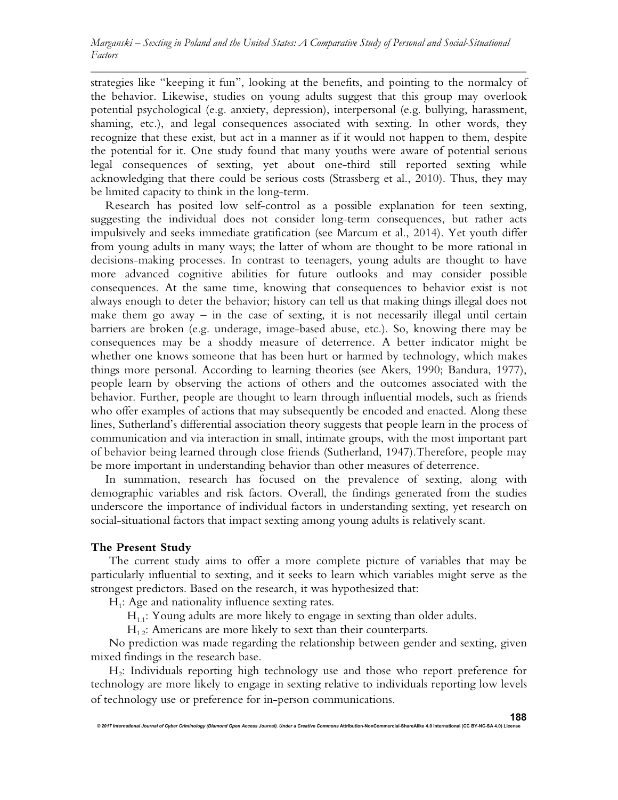strategies like "keeping it fun", looking at the benefits, and pointing to the normalcy of the behavior. Likewise, studies on young adults suggest that this group may overlook potential psychological (e.g. anxiety, depression), interpersonal (e.g. bullying, harassment, shaming, etc.), and legal consequences associated with sexting. In other words, they recognize that these exist, but act in a manner as if it would not happen to them, despite the potential for it. One study found that many youths were aware of potential serious legal consequences of sexting, yet about one-third still reported sexting while acknowledging that there could be serious costs (Strassberg et al., 2010). Thus, they may be limited capacity to think in the long-term.

Research has posited low self-control as a possible explanation for teen sexting, suggesting the individual does not consider long-term consequences, but rather acts impulsively and seeks immediate gratification (see Marcum et al., 2014). Yet youth differ from young adults in many ways; the latter of whom are thought to be more rational in decisions-making processes. In contrast to teenagers, young adults are thought to have more advanced cognitive abilities for future outlooks and may consider possible consequences. At the same time, knowing that consequences to behavior exist is not always enough to deter the behavior; history can tell us that making things illegal does not make them go away – in the case of sexting, it is not necessarily illegal until certain barriers are broken (e.g. underage, image-based abuse, etc.). So, knowing there may be consequences may be a shoddy measure of deterrence. A better indicator might be whether one knows someone that has been hurt or harmed by technology, which makes things more personal. According to learning theories (see Akers, 1990; Bandura, 1977), people learn by observing the actions of others and the outcomes associated with the behavior. Further, people are thought to learn through influential models, such as friends who offer examples of actions that may subsequently be encoded and enacted. Along these lines, Sutherland's differential association theory suggests that people learn in the process of communication and via interaction in small, intimate groups, with the most important part of behavior being learned through close friends (Sutherland, 1947).Therefore, people may be more important in understanding behavior than other measures of deterrence.

In summation, research has focused on the prevalence of sexting, along with demographic variables and risk factors. Overall, the findings generated from the studies underscore the importance of individual factors in understanding sexting, yet research on social-situational factors that impact sexting among young adults is relatively scant.

# **The Present Study**

The current study aims to offer a more complete picture of variables that may be particularly influential to sexting, and it seeks to learn which variables might serve as the strongest predictors. Based on the research, it was hypothesized that:

H<sub>1</sub>: Age and nationality influence sexting rates.

 $H_{1,1}$ : Young adults are more likely to engage in sexting than older adults.

 $H<sub>1.2</sub>$ : Americans are more likely to sext than their counterparts.

No prediction was made regarding the relationship between gender and sexting, given mixed findings in the research base.

H2 : Individuals reporting high technology use and those who report preference for technology are more likely to engage in sexting relative to individuals reporting low levels of technology use or preference for in-person communications.

*© 2017 International Journal of Cyber Criminology (Diamond Open Access Journal). Under a Creative Commons* **Attribution-NonCommercial-ShareAlike 4.0 International (CC BY-NC-SA 4.0) License**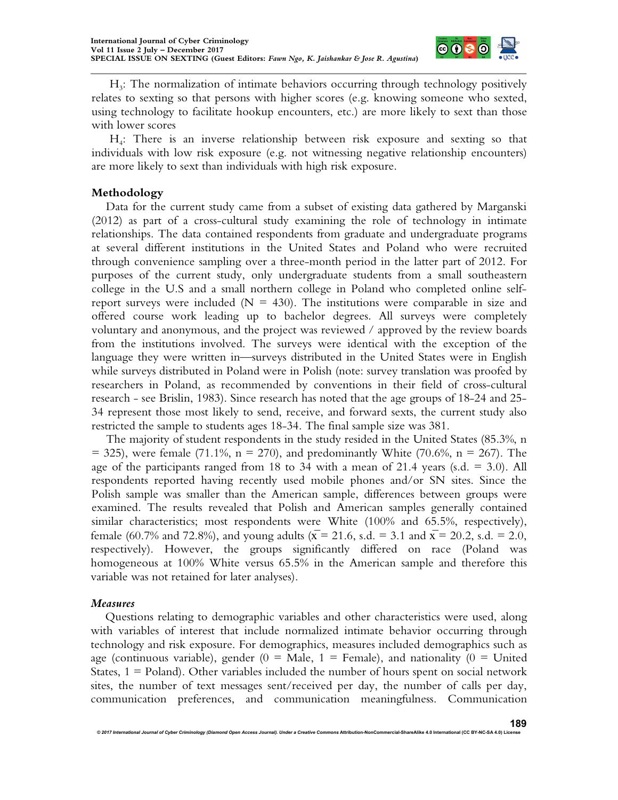

H3 : The normalization of intimate behaviors occurring through technology positively relates to sexting so that persons with higher scores (e.g. knowing someone who sexted, using technology to facilitate hookup encounters, etc.) are more likely to sext than those with lower scores

H4 : There is an inverse relationship between risk exposure and sexting so that individuals with low risk exposure (e.g. not witnessing negative relationship encounters) are more likely to sext than individuals with high risk exposure.

# **Methodology**

Data for the current study came from a subset of existing data gathered by Marganski (2012) as part of a cross-cultural study examining the role of technology in intimate relationships. The data contained respondents from graduate and undergraduate programs at several different institutions in the United States and Poland who were recruited through convenience sampling over a three-month period in the latter part of 2012. For purposes of the current study, only undergraduate students from a small southeastern college in the U.S and a small northern college in Poland who completed online selfreport surveys were included ( $N = 430$ ). The institutions were comparable in size and offered course work leading up to bachelor degrees. All surveys were completely voluntary and anonymous, and the project was reviewed / approved by the review boards from the institutions involved. The surveys were identical with the exception of the language they were written in—surveys distributed in the United States were in English while surveys distributed in Poland were in Polish (note: survey translation was proofed by researchers in Poland, as recommended by conventions in their field of cross-cultural research - see Brislin, 1983). Since research has noted that the age groups of 18-24 and 25- 34 represent those most likely to send, receive, and forward sexts, the current study also restricted the sample to students ages 18-34. The final sample size was 381.

The majority of student respondents in the study resided in the United States (85.3%, n  $=$  325), were female (71.1%, n = 270), and predominantly White (70.6%, n = 267). The age of the participants ranged from 18 to 34 with a mean of 21.4 years (s.d.  $= 3.0$ ). All respondents reported having recently used mobile phones and/or SN sites. Since the Polish sample was smaller than the American sample, differences between groups were examined. The results revealed that Polish and American samples generally contained similar characteristics; most respondents were White (100% and 65.5%, respectively), female (60.7% and 72.8%), and young adults ( $\bar{x}$  = 21.6, s.d. = 3.1 and  $\bar{x}$  = 20.2, s.d. = 2.0, respectively). However, the groups significantly differed on race (Poland was homogeneous at 100% White versus 65.5% in the American sample and therefore this variable was not retained for later analyses).

#### *Measures*

Questions relating to demographic variables and other characteristics were used, along with variables of interest that include normalized intimate behavior occurring through technology and risk exposure. For demographics, measures included demographics such as age (continuous variable), gender  $(0 = \text{Male}, 1 = \text{Female})$ , and nationality  $(0 = \text{United})$ States,  $1 =$  Poland). Other variables included the number of hours spent on social network sites, the number of text messages sent/received per day, the number of calls per day, communication preferences, and communication meaningfulness. Communication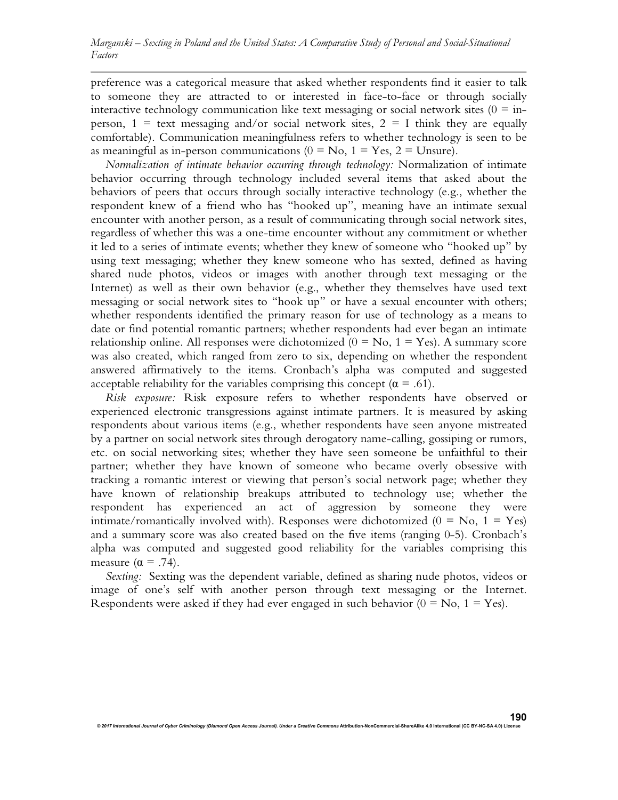preference was a categorical measure that asked whether respondents find it easier to talk to someone they are attracted to or interested in face-to-face or through socially interactive technology communication like text messaging or social network sites  $(0 = in$ person,  $1 = \text{text}$  messaging and/or social network sites,  $2 = I$  think they are equally comfortable). Communication meaningfulness refers to whether technology is seen to be as meaningful as in-person communications ( $0 = No$ ,  $1 = Yes$ ,  $2 = Unsure$ ).

*Normalization of intimate behavior occurring through technology:* Normalization of intimate behavior occurring through technology included several items that asked about the behaviors of peers that occurs through socially interactive technology (e.g., whether the respondent knew of a friend who has "hooked up", meaning have an intimate sexual encounter with another person, as a result of communicating through social network sites, regardless of whether this was a one-time encounter without any commitment or whether it led to a series of intimate events; whether they knew of someone who "hooked up" by using text messaging; whether they knew someone who has sexted, defined as having shared nude photos, videos or images with another through text messaging or the Internet) as well as their own behavior (e.g., whether they themselves have used text messaging or social network sites to "hook up" or have a sexual encounter with others; whether respondents identified the primary reason for use of technology as a means to date or find potential romantic partners; whether respondents had ever began an intimate relationship online. All responses were dichotomized ( $0 = No$ ,  $1 = Yes$ ). A summary score was also created, which ranged from zero to six, depending on whether the respondent answered affirmatively to the items. Cronbach's alpha was computed and suggested acceptable reliability for the variables comprising this concept ( $\alpha = .61$ ).

*Risk exposure:* Risk exposure refers to whether respondents have observed or experienced electronic transgressions against intimate partners. It is measured by asking respondents about various items (e.g., whether respondents have seen anyone mistreated by a partner on social network sites through derogatory name-calling, gossiping or rumors, etc. on social networking sites; whether they have seen someone be unfaithful to their partner; whether they have known of someone who became overly obsessive with tracking a romantic interest or viewing that person's social network page; whether they have known of relationship breakups attributed to technology use; whether the respondent has experienced an act of aggression by someone they were intimate/romantically involved with). Responses were dichotomized  $(0 = No, 1 = Yes)$ and a summary score was also created based on the five items (ranging 0-5). Cronbach's alpha was computed and suggested good reliability for the variables comprising this measure  $(\alpha = .74)$ .

*Sexting:* Sexting was the dependent variable, defined as sharing nude photos, videos or image of one's self with another person through text messaging or the Internet. Respondents were asked if they had ever engaged in such behavior  $(0 = No, 1 = Yes)$ .

*© 2017 International Journal of Cyber Criminology (Diamond Open Access Journal). Under a Creative Commons* **Attribution-NonCommercial-ShareAlike 4.0 International (CC BY-NC-SA 4.0) License**

**190**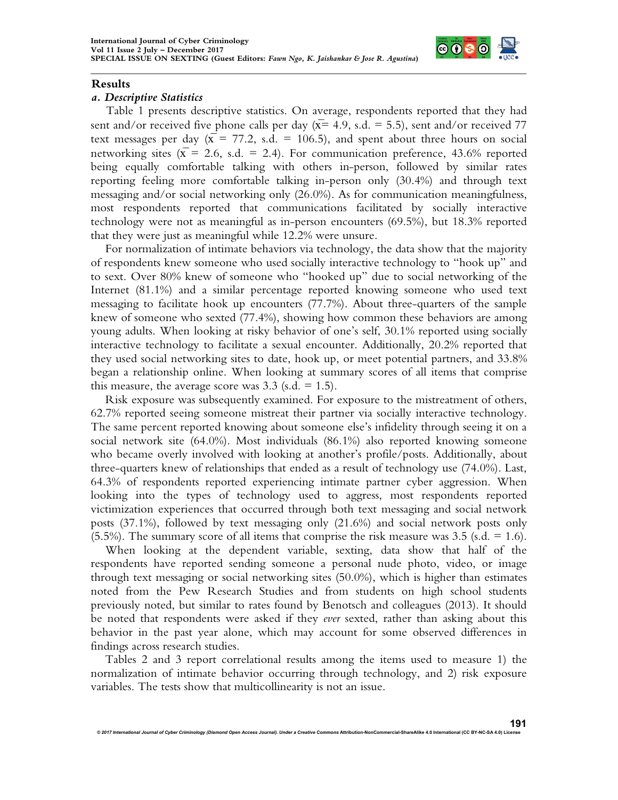

#### **Results**

#### *a. Descriptive Statistics*

Table 1 presents descriptive statistics. On average, respondents reported that they had sent and/or received five phone calls per day ( $\overline{x}$ = 4.9, s.d. = 5.5), sent and/or received 77 text messages per day  $(\bar{x} = 77.2, s.d. = 106.5)$ , and spent about three hours on social networking sites ( $\bar{x}$  = 2.6, s.d. = 2.4). For communication preference, 43.6% reported being equally comfortable talking with others in-person, followed by similar rates reporting feeling more comfortable talking in-person only (30.4%) and through text messaging and/or social networking only (26.0%). As for communication meaningfulness, most respondents reported that communications facilitated by socially interactive technology were not as meaningful as in-person encounters (69.5%), but 18.3% reported that they were just as meaningful while 12.2% were unsure.

For normalization of intimate behaviors via technology, the data show that the majority of respondents knew someone who used socially interactive technology to "hook up" and to sext. Over 80% knew of someone who "hooked up" due to social networking of the Internet (81.1%) and a similar percentage reported knowing someone who used text messaging to facilitate hook up encounters (77.7%). About three-quarters of the sample knew of someone who sexted (77.4%), showing how common these behaviors are among young adults. When looking at risky behavior of one's self, 30.1% reported using socially interactive technology to facilitate a sexual encounter. Additionally, 20.2% reported that they used social networking sites to date, hook up, or meet potential partners, and 33.8% began a relationship online. When looking at summary scores of all items that comprise this measure, the average score was  $3.3$  (s.d. = 1.5).

Risk exposure was subsequently examined. For exposure to the mistreatment of others, 62.7% reported seeing someone mistreat their partner via socially interactive technology. The same percent reported knowing about someone else's infidelity through seeing it on a social network site (64.0%). Most individuals (86.1%) also reported knowing someone who became overly involved with looking at another's profile/posts. Additionally, about three-quarters knew of relationships that ended as a result of technology use (74.0%). Last, 64.3% of respondents reported experiencing intimate partner cyber aggression. When looking into the types of technology used to aggress, most respondents reported victimization experiences that occurred through both text messaging and social network posts (37.1%), followed by text messaging only (21.6%) and social network posts only  $(5.5\%)$ . The summary score of all items that comprise the risk measure was 3.5 (s.d. = 1.6).

When looking at the dependent variable, sexting, data show that half of the respondents have reported sending someone a personal nude photo, video, or image through text messaging or social networking sites (50.0%), which is higher than estimates noted from the Pew Research Studies and from students on high school students previously noted, but similar to rates found by Benotsch and colleagues (2013). It should be noted that respondents were asked if they *ever* sexted, rather than asking about this behavior in the past year alone, which may account for some observed differences in findings across research studies.

Tables 2 and 3 report correlational results among the items used to measure 1) the normalization of intimate behavior occurring through technology, and 2) risk exposure variables. The tests show that multicollinearity is not an issue.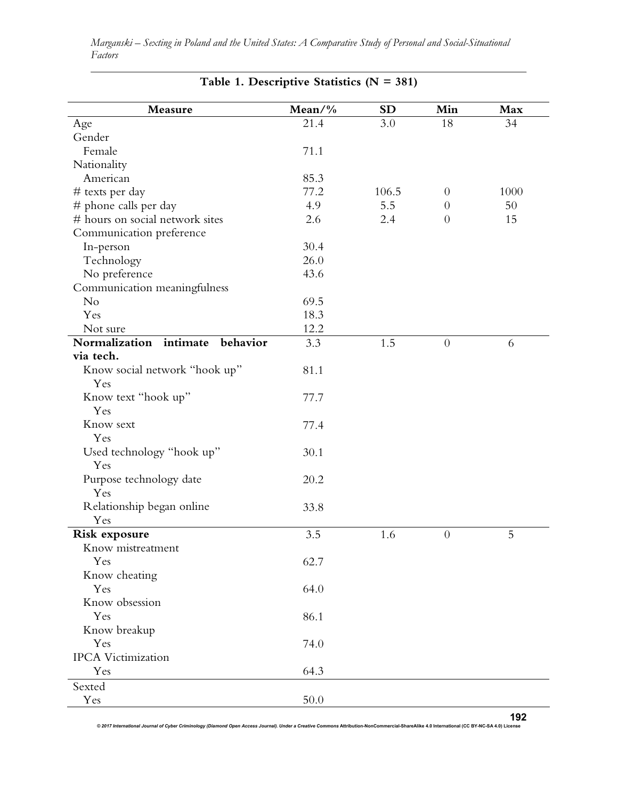| Measure                               | Mean/ $\%$ | <b>SD</b> | Min            | Max  |
|---------------------------------------|------------|-----------|----------------|------|
| Age                                   | 21.4       | 3.0       | 18             | 34   |
| Gender                                |            |           |                |      |
| Female                                | 71.1       |           |                |      |
| Nationality                           |            |           |                |      |
| American                              | 85.3       |           |                |      |
| # texts per day                       | 77.2       | 106.5     | $\overline{0}$ | 1000 |
| # phone calls per day                 | 4.9        | 5.5       | $\theta$       | 50   |
| # hours on social network sites       | 2.6        | 2.4       | $\overline{0}$ | 15   |
| Communication preference              |            |           |                |      |
| In-person                             | 30.4       |           |                |      |
| Technology                            | 26.0       |           |                |      |
| No preference                         | 43.6       |           |                |      |
| Communication meaningfulness          |            |           |                |      |
| No                                    | 69.5       |           |                |      |
| Yes                                   | 18.3       |           |                |      |
| Not sure                              | 12.2       |           |                |      |
| Normalization<br>intimate<br>behavior | 3.3        | 1.5       | $\overline{0}$ | 6    |
| via tech.                             |            |           |                |      |
| Know social network "hook up"         | 81.1       |           |                |      |
| Yes                                   |            |           |                |      |
| Know text "hook up"                   | 77.7       |           |                |      |
| Yes                                   |            |           |                |      |
| Know sext                             | 77.4       |           |                |      |
| Yes                                   |            |           |                |      |
| Used technology "hook up"             | 30.1       |           |                |      |
| Yes                                   |            |           |                |      |
| Purpose technology date               | 20.2       |           |                |      |
| Yes                                   |            |           |                |      |
| Relationship began online             | 33.8       |           |                |      |
| Yes                                   |            |           |                |      |
| Risk exposure                         | 3.5        | 1.6       | $\theta$       | 5    |
| Know mistreatment                     |            |           |                |      |
| Yes                                   | 62.7       |           |                |      |
| Know cheating                         |            |           |                |      |
| Yes                                   | 64.0       |           |                |      |
| Know obsession                        |            |           |                |      |
| Yes                                   | 86.1       |           |                |      |
| Know breakup                          |            |           |                |      |
| Yes                                   | 74.0       |           |                |      |
| <b>IPCA</b> Victimization             |            |           |                |      |
| Yes                                   | 64.3       |           |                |      |
| Sexted                                |            |           |                |      |
| Yes                                   | 50.0       |           |                |      |
|                                       |            |           |                |      |

*Marganski – Sexting in Poland and the United States: A Comparative Study of Personal and Social-Situational Factors*

**Table 1. Descriptive Statistics (N = 381)**

*© 2017 International Journal of Cyber Criminology (Diamond Open Access Journal). Under a Creative Commons* **Attribution-NonCommercial-ShareAlike 4.0 International (CC BY-NC-SA 4.0) License 192**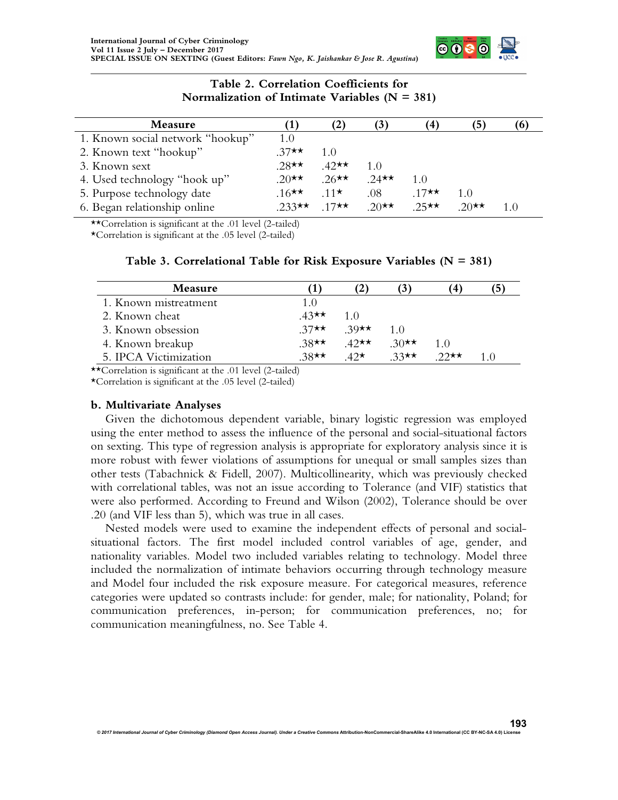

#### **Table 2. Correlation Coefficients for Normalization of Intimate Variables (N = 381)**

| Measure                          |                   | $\mathbf{2}$     | $\mathbf{J}$     | $\left( 4 \right)$ | 5)              |    |
|----------------------------------|-------------------|------------------|------------------|--------------------|-----------------|----|
| 1. Known social network "hookup" | 1.0               |                  |                  |                    |                 |    |
| 2. Known text "hookup"           | $37 \star \star$  | 1.0              |                  |                    |                 |    |
| 3. Known sext                    | $.28$ **          | $42 \star \star$ | 1.(1)            |                    |                 |    |
| 4. Used technology "hook up"     | 20 $\star\star$   | $.26$ **         | 2.4 $\star\star$ | 1.0                |                 |    |
| 5. Purpose technology date       | $16 \star \star$  | $11 \star$       | .08              | $17 \star \star$   | 1.0             |    |
| 6. Began relationship online     | $233 \star \star$ | 17★★             | $20 \star \star$ | $25 \star \star$   | 20 $\star\star$ | 10 |

\*\*Correlation is significant at the .01 level (2-tailed)

\*Correlation is significant at the .05 level (2-tailed)

| Table 3. Correlational Table for Risk Exposure Variables ( $N = 381$ ) |  |  |  |  |  |  |
|------------------------------------------------------------------------|--|--|--|--|--|--|
|------------------------------------------------------------------------|--|--|--|--|--|--|

| Measure               |                  |                  | $\mathbf{J}$     |                  |  |
|-----------------------|------------------|------------------|------------------|------------------|--|
| 1. Known mistreatment | 1.0              |                  |                  |                  |  |
| 2. Known cheat        | $43 \star \star$ | 1 O              |                  |                  |  |
| 3. Known obsession    | $37\star\star$   | 39 $\star\star$  | 1 O              |                  |  |
| 4. Known breakup      | $38 \star \star$ | $42 \star \star$ | 30 $\star\star$  | 10               |  |
| 5. IPCA Victimization | $38 \star \star$ | $42\star$        | $33 \star \star$ | $22 \star \star$ |  |

\*\*Correlation is significant at the .01 level (2-tailed)

\*Correlation is significant at the .05 level (2-tailed)

#### **b. Multivariate Analyses**

Given the dichotomous dependent variable, binary logistic regression was employed using the enter method to assess the influence of the personal and social-situational factors on sexting. This type of regression analysis is appropriate for exploratory analysis since it is more robust with fewer violations of assumptions for unequal or small samples sizes than other tests (Tabachnick & Fidell, 2007). Multicollinearity, which was previously checked with correlational tables, was not an issue according to Tolerance (and VIF) statistics that were also performed. According to Freund and Wilson (2002), Tolerance should be over .20 (and VIF less than 5), which was true in all cases.

Nested models were used to examine the independent effects of personal and socialsituational factors. The first model included control variables of age, gender, and nationality variables. Model two included variables relating to technology. Model three included the normalization of intimate behaviors occurring through technology measure and Model four included the risk exposure measure. For categorical measures, reference categories were updated so contrasts include: for gender, male; for nationality, Poland; for communication preferences, in-person; for communication preferences, no; for communication meaningfulness, no. See Table 4.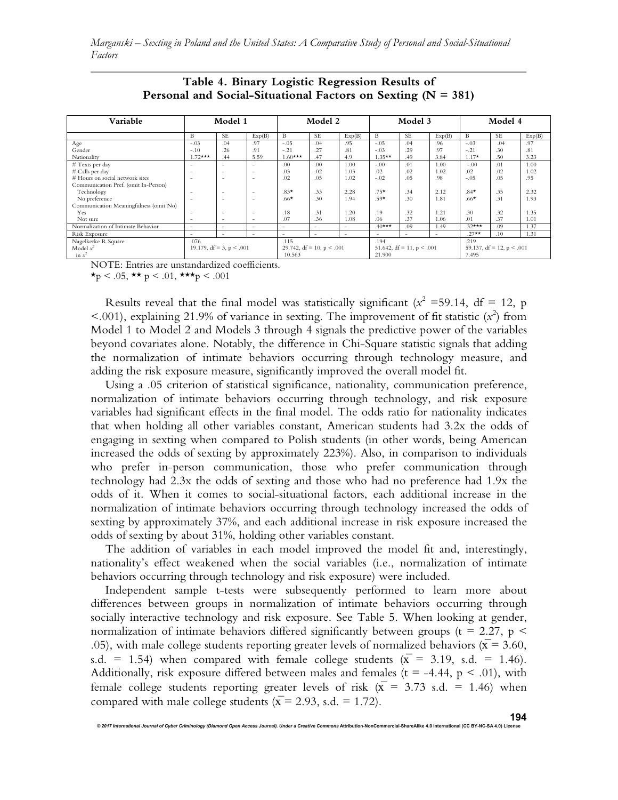| Variable                               |                          | Model 1                       |                          |                          | Model 2                        |                          |                          | Model 3                        |        |          | Model 4                        |        |
|----------------------------------------|--------------------------|-------------------------------|--------------------------|--------------------------|--------------------------------|--------------------------|--------------------------|--------------------------------|--------|----------|--------------------------------|--------|
|                                        | B                        | <b>SE</b>                     | Exp(B)                   | B                        | <b>SE</b>                      | Exp(B)                   | B                        | <b>SE</b>                      | Exp(B) | B        | <b>SE</b>                      | Exp(B) |
| Age                                    | $-.03$                   | .04                           | .97                      | $-.05$                   | .04                            | .95                      | $-.05$                   | .04                            | .96    | $-.03$   | .04                            | .97    |
| Gender                                 | $-.10$                   | .26                           | .91                      | $-.21$                   | .27                            | .81                      | $-.03$                   | .29                            | .97    | $-.21$   | .30                            | .81    |
| Nationality                            | $1.72***$                | .44                           | 5.59                     | $1.60***$                | .47                            | 4.9                      | $1.35***$                | .49                            | 3.84   | $1.17*$  | .50                            | 3.23   |
| # Texts per day                        |                          | $\overline{\phantom{a}}$      | -                        | .00                      | .00                            | 1.00                     | $-.00$                   | .01                            | 1.00   | $-.00$   | .01                            | 1.00   |
| # Calls per day                        |                          | $\overline{\phantom{a}}$      | $\overline{\phantom{a}}$ | .03                      | .02                            | 1.03                     | .02                      | .02                            | 1.02   | .02      | .02                            | 1.02   |
| # Hours on social network sites        | <u>. .</u>               | $\overline{\phantom{a}}$      | $\overline{\phantom{a}}$ | .02                      | .05                            | 1.02                     | $-.02$                   | .05                            | .98    | $-.05$   | .05                            | .95    |
| Communication Pref. (omit In-Person)   |                          |                               |                          |                          |                                |                          |                          |                                |        |          |                                |        |
| Technology                             |                          |                               | $\overline{\phantom{a}}$ | $.83*$                   | .33                            | 2.28                     | $.75*$                   | .34                            | 2.12   | $.84*$   | .35                            | 2.32   |
| No preference                          |                          | $\overline{\phantom{a}}$      | $\overline{\phantom{a}}$ | $.66*$                   | .30                            | 1.94                     | $.59*$                   | .30                            | 1.81   | $.66*$   | .31                            | 1.93   |
| Communication Meaningfulness (omit No) |                          |                               |                          |                          |                                |                          |                          |                                |        |          |                                |        |
| Yes                                    | $\overline{\phantom{a}}$ | $\overline{\phantom{a}}$      | $\overline{\phantom{a}}$ | .18                      | .31                            | 1.20                     | .19                      | .32                            | 1.21   | .30      | .32                            | 1.35   |
| Not sure                               | $\overline{\phantom{a}}$ | $\overline{\phantom{a}}$      | $\overline{\phantom{a}}$ | .07                      | .36                            | 1.08                     | .06                      | .37                            | 1.06   | .01      | .37                            | 1.01   |
| Normalization of Intimate Behavior     | $\overline{\phantom{a}}$ | $\overline{\phantom{a}}$      | $\overline{\phantom{a}}$ | $\overline{\phantom{a}}$ | $\overline{\phantom{a}}$       | $\overline{\phantom{a}}$ | $.40***$                 | .09                            | 1.49   | $.32***$ | .09                            | 1.37   |
| Risk Exposure                          | $\overline{\phantom{a}}$ | $\overline{\phantom{a}}$      | $\overline{\phantom{a}}$ | $\sim$                   | $\sim$                         | $\overline{\phantom{a}}$ | $\overline{\phantom{a}}$ | $\sim$                         | $\sim$ | $.27**$  | .10                            | 1.31   |
| Nagelkerke R Square                    | .076                     |                               |                          | .115                     |                                |                          | .194                     |                                |        | .219     |                                |        |
| Model $x^2$                            |                          | 19.179, $df = 3$ , $p < .001$ |                          |                          | 29.742, $df = 10$ , $p < .001$ |                          |                          | 51.642, $df = 11$ , $p < .001$ |        |          | 59.137, $df = 12$ , $p < .001$ |        |
| in $x^2$                               |                          |                               |                          | 10.563                   |                                |                          | 21.900                   |                                |        | 7.495    |                                |        |

## **Table 4. Binary Logistic Regression Results of Personal and Social-Situational Factors on Sexting (N = 381)**

NOTE: Entries are unstandardized coefficients.

 $\star$ p < .05,  $\star \star$  p < .01,  $\star \star \star$ p < .001

Results reveal that the final model was statistically significant ( $x^2 = 59.14$ , df = 12, p  $\leq$ .001), explaining 21.9% of variance in sexting. The improvement of fit statistic  $(x^2)$  from Model 1 to Model 2 and Models 3 through 4 signals the predictive power of the variables beyond covariates alone. Notably, the difference in Chi-Square statistic signals that adding the normalization of intimate behaviors occurring through technology measure, and adding the risk exposure measure, significantly improved the overall model fit.

Using a .05 criterion of statistical significance, nationality, communication preference, normalization of intimate behaviors occurring through technology, and risk exposure variables had significant effects in the final model. The odds ratio for nationality indicates that when holding all other variables constant, American students had 3.2x the odds of engaging in sexting when compared to Polish students (in other words, being American increased the odds of sexting by approximately 223%). Also, in comparison to individuals who prefer in-person communication, those who prefer communication through technology had 2.3x the odds of sexting and those who had no preference had 1.9x the odds of it. When it comes to social-situational factors, each additional increase in the normalization of intimate behaviors occurring through technology increased the odds of sexting by approximately 37%, and each additional increase in risk exposure increased the odds of sexting by about 31%, holding other variables constant.

The addition of variables in each model improved the model fit and, interestingly, nationality's effect weakened when the social variables (i.e., normalization of intimate behaviors occurring through technology and risk exposure) were included.

Independent sample t-tests were subsequently performed to learn more about differences between groups in normalization of intimate behaviors occurring through socially interactive technology and risk exposure. See Table 5. When looking at gender, normalization of intimate behaviors differed significantly between groups ( $t = 2.27$ ,  $p <$ .05), with male college students reporting greater levels of normalized behaviors ( $\bar{x}$  = 3.60, s.d. = 1.54) when compared with female college students  $(\overline{x} = 3.19, s.d. = 1.46)$ . Additionally, risk exposure differed between males and females ( $t = -4.44$ ,  $p < .01$ ), with female college students reporting greater levels of risk ( $\bar{x}$  = 3.73 s.d. = 1.46) when compared with male college students ( $\bar{x}$  = 2.93, s.d. = 1.72).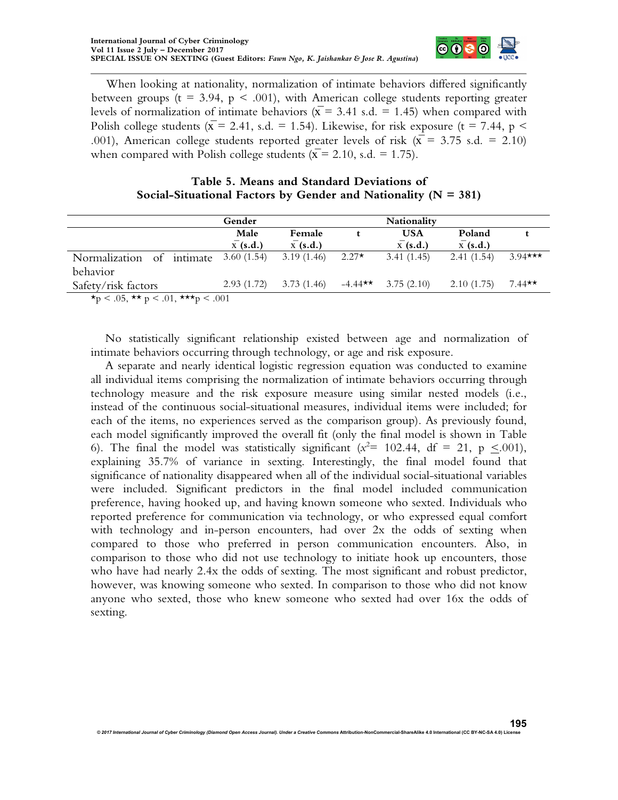When looking at nationality, normalization of intimate behaviors differed significantly between groups ( $t = 3.94$ ,  $p < .001$ ), with American college students reporting greater levels of normalization of intimate behaviors ( $\bar{x}$  = 3.41 s.d. = 1.45) when compared with Polish college students ( $\bar{x}$  = 2.41, s.d. = 1.54). Likewise, for risk exposure (t = 7.44, p < .001), American college students reported greater levels of risk ( $\bar{x}$  = 3.75 s.d. = 2.10) when compared with Polish college students ( $\bar{x}$  = 2.10, s.d. = 1.75).

 $\bullet$   $\bullet$ 

# **Table 5. Means and Standard Deviations of Social-Situational Factors by Gender and Nationality (N = 381)**

|                                                              | Gender               |            |            | <b>Nationality</b>   |                      |          |
|--------------------------------------------------------------|----------------------|------------|------------|----------------------|----------------------|----------|
|                                                              | Male                 | Female     |            | <b>USA</b>           | Poland               |          |
|                                                              | $\overline{x}(s.d.)$ | $X$ (s.d.) |            | $\overline{X}(s.d.)$ | $\overline{x}(s.d.)$ |          |
| Normalization of intimate                                    | 3.60(1.54)           | 3.19(1.46) | $2.27*$    | 3.41(1.45)           | 2.41(1.54)           | 394***   |
| behavior                                                     |                      |            |            |                      |                      |          |
| Safety/risk factors                                          | 2.93(1.72)           | 3.73(1.46) | $-4.44$ ** | 3.75(2.10)           | 2.10(1.75)           | $7.44**$ |
| $\star$ n < 05 $\star\star$ n < 01 $\star\star\star$ n < 001 |                      |            |            |                      |                      |          |

 $\star_{\rm p}$  < .05,  $\star \star_{\rm p}$  < .01,  $\star \star \star_{\rm p}$  < .001

No statistically significant relationship existed between age and normalization of intimate behaviors occurring through technology, or age and risk exposure.

A separate and nearly identical logistic regression equation was conducted to examine all individual items comprising the normalization of intimate behaviors occurring through technology measure and the risk exposure measure using similar nested models (i.e., instead of the continuous social-situational measures, individual items were included; for each of the items, no experiences served as the comparison group). As previously found, each model significantly improved the overall fit (only the final model is shown in Table 6). The final the model was statistically significant ( $x^2$  = 102.44, df = 21, p  $\leq$ .001), explaining 35.7% of variance in sexting. Interestingly, the final model found that significance of nationality disappeared when all of the individual social-situational variables were included. Significant predictors in the final model included communication preference, having hooked up, and having known someone who sexted. Individuals who reported preference for communication via technology, or who expressed equal comfort with technology and in-person encounters, had over 2x the odds of sexting when compared to those who preferred in person communication encounters. Also, in comparison to those who did not use technology to initiate hook up encounters, those who have had nearly 2.4x the odds of sexting. The most significant and robust predictor, however, was knowing someone who sexted. In comparison to those who did not know anyone who sexted, those who knew someone who sexted had over 16x the odds of sexting.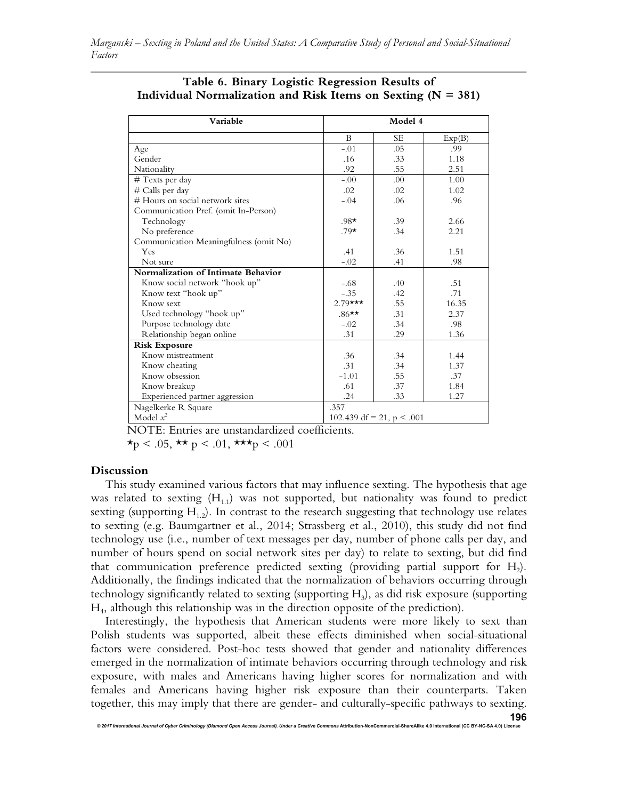| Variable                               | Model 4      |                             |        |  |  |
|----------------------------------------|--------------|-----------------------------|--------|--|--|
|                                        | $\mathbf{B}$ | <b>SE</b>                   | Exp(B) |  |  |
| Age                                    | $-.01$       | .05                         | .99    |  |  |
| Gender                                 | .16          | .33                         | 1.18   |  |  |
| Nationality                            | .92          | .55                         | 2.51   |  |  |
| # Texts per day                        | $-.00$       | .00                         | 1.00   |  |  |
| # Calls per day                        | .02          | .02                         | 1.02   |  |  |
| # Hours on social network sites        | $-.04$       | .06                         | .96    |  |  |
| Communication Pref. (omit In-Person)   |              |                             |        |  |  |
| Technology                             | $.98*$       | .39                         | 2.66   |  |  |
| No preference                          | $.79*$       | .34                         | 2.21   |  |  |
| Communication Meaningfulness (omit No) |              |                             |        |  |  |
| Yes                                    | .41          | .36                         | 1.51   |  |  |
| Not sure                               | $-.02$       | .41                         | .98    |  |  |
| Normalization of Intimate Behavior     |              |                             |        |  |  |
| Know social network "hook up"          | $-.68$       | .40                         | .51    |  |  |
| Know text "hook up"                    | $-.35$       | .42                         | .71    |  |  |
| Know sext                              | $2.79***$    | .55                         | 16.35  |  |  |
| Used technology "hook up"              | $.86**$      | .31                         | 2.37   |  |  |
| Purpose technology date                | $-.02$       | .34                         | .98    |  |  |
| Relationship began online              | .31          | .29                         | 1.36   |  |  |
| <b>Risk Exposure</b>                   |              |                             |        |  |  |
| Know mistreatment                      | .36          | .34                         | 1.44   |  |  |
| Know cheating                          | .31          | .34                         | 1.37   |  |  |
| Know obsession                         | $-1.01$      | .55                         | .37    |  |  |
| Know breakup                           | .61          | .37                         | 1.84   |  |  |
| Experienced partner aggression         | .24          | .33                         | 1.27   |  |  |
| Nagelkerke R Square                    | .357         |                             |        |  |  |
| Model $x^2$                            |              | 102.439 df = 21, $p < .001$ |        |  |  |

| Table 6. Binary Logistic Regression Results of                   |
|------------------------------------------------------------------|
| Individual Normalization and Risk Items on Sexting ( $N = 381$ ) |

NOTE: Entries are unstandardized coefficients.

 $\star$ p < .05,  $\star \star$  p < .01,  $\star \star \star$ p < .001

#### **Discussion**

This study examined various factors that may influence sexting. The hypothesis that age was related to sexting  $(H_{11})$  was not supported, but nationality was found to predict sexting (supporting  $H_{12}$ ). In contrast to the research suggesting that technology use relates to sexting (e.g. Baumgartner et al., 2014; Strassberg et al., 2010), this study did not find technology use (i.e., number of text messages per day, number of phone calls per day, and number of hours spend on social network sites per day) to relate to sexting, but did find that communication preference predicted sexting (providing partial support for  $H_2$ ). Additionally, the findings indicated that the normalization of behaviors occurring through technology significantly related to sexting (supporting H<sub>3</sub>), as did risk exposure (supporting H4 , although this relationship was in the direction opposite of the prediction).

Interestingly, the hypothesis that American students were more likely to sext than Polish students was supported, albeit these effects diminished when social-situational factors were considered. Post-hoc tests showed that gender and nationality differences emerged in the normalization of intimate behaviors occurring through technology and risk exposure, with males and Americans having higher scores for normalization and with females and Americans having higher risk exposure than their counterparts. Taken together, this may imply that there are gender- and culturally-specific pathways to sexting.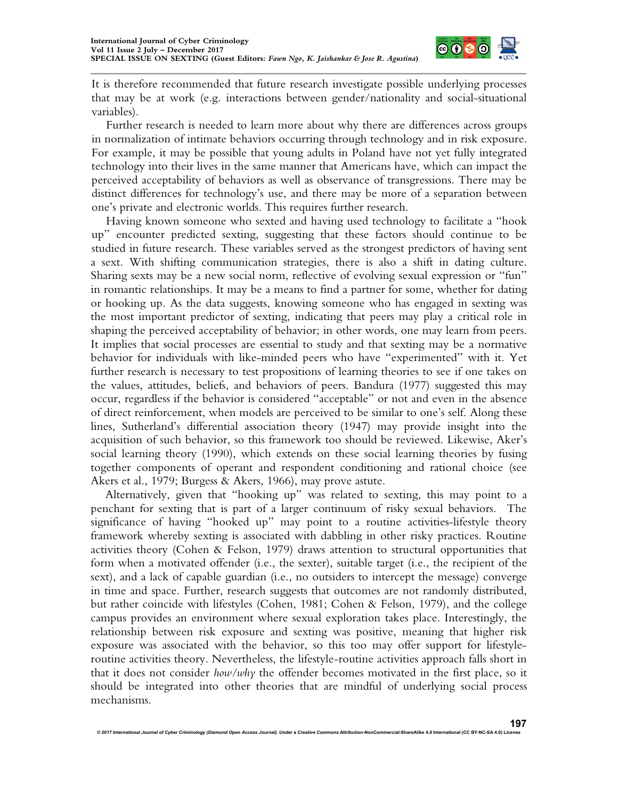

It is therefore recommended that future research investigate possible underlying processes that may be at work (e.g. interactions between gender/nationality and social-situational variables).

Further research is needed to learn more about why there are differences across groups in normalization of intimate behaviors occurring through technology and in risk exposure. For example, it may be possible that young adults in Poland have not yet fully integrated technology into their lives in the same manner that Americans have, which can impact the perceived acceptability of behaviors as well as observance of transgressions. There may be distinct differences for technology's use, and there may be more of a separation between one's private and electronic worlds. This requires further research.

Having known someone who sexted and having used technology to facilitate a "hook up" encounter predicted sexting, suggesting that these factors should continue to be studied in future research. These variables served as the strongest predictors of having sent a sext. With shifting communication strategies, there is also a shift in dating culture. Sharing sexts may be a new social norm, reflective of evolving sexual expression or "fun" in romantic relationships. It may be a means to find a partner for some, whether for dating or hooking up. As the data suggests, knowing someone who has engaged in sexting was the most important predictor of sexting, indicating that peers may play a critical role in shaping the perceived acceptability of behavior; in other words, one may learn from peers. It implies that social processes are essential to study and that sexting may be a normative behavior for individuals with like-minded peers who have "experimented" with it. Yet further research is necessary to test propositions of learning theories to see if one takes on the values, attitudes, beliefs, and behaviors of peers. Bandura (1977) suggested this may occur, regardless if the behavior is considered "acceptable" or not and even in the absence of direct reinforcement, when models are perceived to be similar to one's self. Along these lines, Sutherland's differential association theory (1947) may provide insight into the acquisition of such behavior, so this framework too should be reviewed. Likewise, Aker's social learning theory (1990), which extends on these social learning theories by fusing together components of operant and respondent conditioning and rational choice (see Akers et al., 1979; Burgess & Akers, 1966), may prove astute.

Alternatively, given that "hooking up" was related to sexting, this may point to a penchant for sexting that is part of a larger continuum of risky sexual behaviors. The significance of having "hooked up" may point to a routine activities-lifestyle theory framework whereby sexting is associated with dabbling in other risky practices. Routine activities theory (Cohen & Felson, 1979) draws attention to structural opportunities that form when a motivated offender (i.e., the sexter), suitable target (i.e., the recipient of the sext), and a lack of capable guardian (i.e., no outsiders to intercept the message) converge in time and space. Further, research suggests that outcomes are not randomly distributed, but rather coincide with lifestyles (Cohen, 1981; Cohen & Felson, 1979), and the college campus provides an environment where sexual exploration takes place. Interestingly, the relationship between risk exposure and sexting was positive, meaning that higher risk exposure was associated with the behavior, so this too may offer support for lifestyleroutine activities theory. Nevertheless, the lifestyle-routine activities approach falls short in that it does not consider *how/why* the offender becomes motivated in the first place, so it should be integrated into other theories that are mindful of underlying social process mechanisms.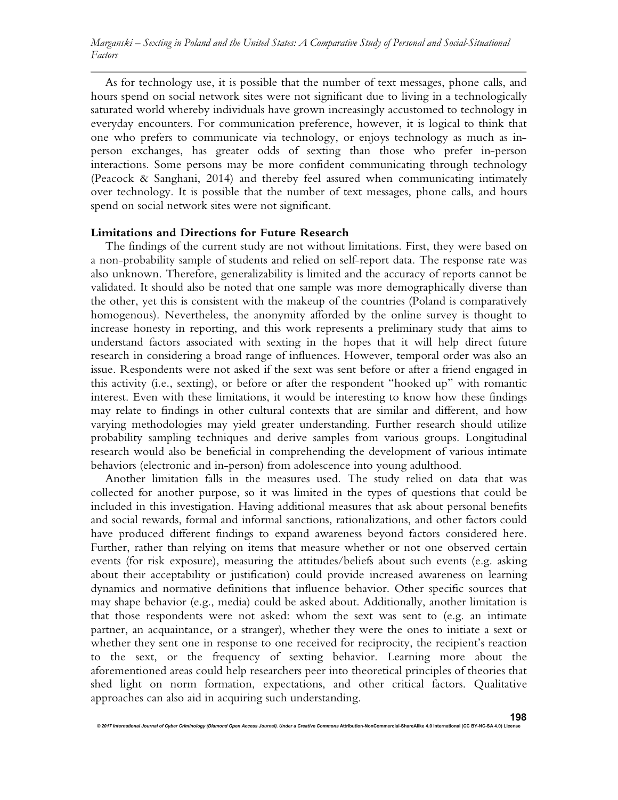As for technology use, it is possible that the number of text messages, phone calls, and hours spend on social network sites were not significant due to living in a technologically saturated world whereby individuals have grown increasingly accustomed to technology in everyday encounters. For communication preference, however, it is logical to think that one who prefers to communicate via technology, or enjoys technology as much as inperson exchanges, has greater odds of sexting than those who prefer in-person interactions. Some persons may be more confident communicating through technology (Peacock & Sanghani, 2014) and thereby feel assured when communicating intimately over technology. It is possible that the number of text messages, phone calls, and hours spend on social network sites were not significant.

#### **Limitations and Directions for Future Research**

The findings of the current study are not without limitations. First, they were based on a non-probability sample of students and relied on self-report data. The response rate was also unknown. Therefore, generalizability is limited and the accuracy of reports cannot be validated. It should also be noted that one sample was more demographically diverse than the other, yet this is consistent with the makeup of the countries (Poland is comparatively homogenous). Nevertheless, the anonymity afforded by the online survey is thought to increase honesty in reporting, and this work represents a preliminary study that aims to understand factors associated with sexting in the hopes that it will help direct future research in considering a broad range of influences. However, temporal order was also an issue. Respondents were not asked if the sext was sent before or after a friend engaged in this activity (i.e., sexting), or before or after the respondent "hooked up" with romantic interest. Even with these limitations, it would be interesting to know how these findings may relate to findings in other cultural contexts that are similar and different, and how varying methodologies may yield greater understanding. Further research should utilize probability sampling techniques and derive samples from various groups. Longitudinal research would also be beneficial in comprehending the development of various intimate behaviors (electronic and in-person) from adolescence into young adulthood.

Another limitation falls in the measures used. The study relied on data that was collected for another purpose, so it was limited in the types of questions that could be included in this investigation. Having additional measures that ask about personal benefits and social rewards, formal and informal sanctions, rationalizations, and other factors could have produced different findings to expand awareness beyond factors considered here. Further, rather than relying on items that measure whether or not one observed certain events (for risk exposure), measuring the attitudes/beliefs about such events (e.g. asking about their acceptability or justification) could provide increased awareness on learning dynamics and normative definitions that influence behavior. Other specific sources that may shape behavior (e.g., media) could be asked about. Additionally, another limitation is that those respondents were not asked: whom the sext was sent to (e.g. an intimate partner, an acquaintance, or a stranger), whether they were the ones to initiate a sext or whether they sent one in response to one received for reciprocity, the recipient's reaction to the sext, or the frequency of sexting behavior. Learning more about the aforementioned areas could help researchers peer into theoretical principles of theories that shed light on norm formation, expectations, and other critical factors. Qualitative approaches can also aid in acquiring such understanding.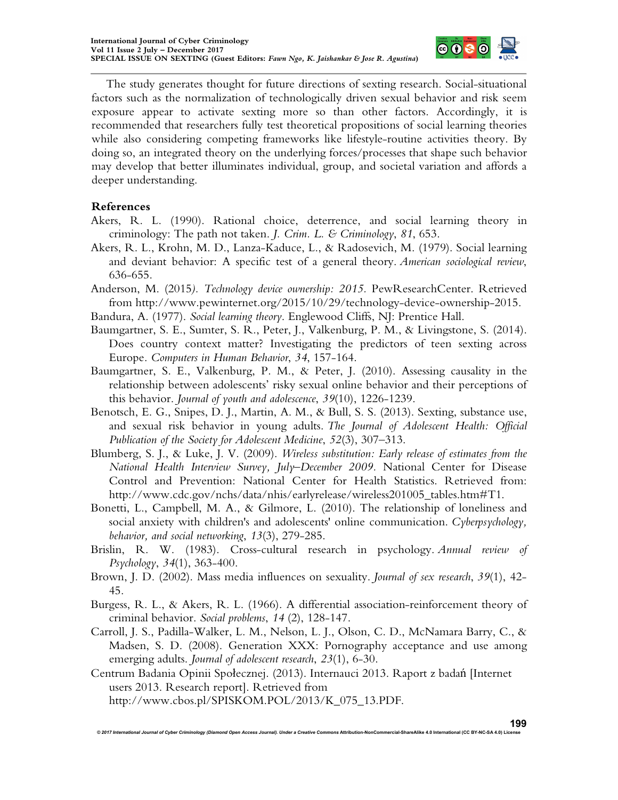

The study generates thought for future directions of sexting research. Social-situational factors such as the normalization of technologically driven sexual behavior and risk seem exposure appear to activate sexting more so than other factors. Accordingly, it is recommended that researchers fully test theoretical propositions of social learning theories while also considering competing frameworks like lifestyle-routine activities theory. By doing so, an integrated theory on the underlying forces/processes that shape such behavior may develop that better illuminates individual, group, and societal variation and affords a deeper understanding.

# **References**

- Akers, R. L. (1990). Rational choice, deterrence, and social learning theory in criminology: The path not taken. *J. Crim. L. & Criminology*, *81*, 653.
- Akers, R. L., Krohn, M. D., Lanza-Kaduce, L., & Radosevich, M. (1979). Social learning and deviant behavior: A specific test of a general theory. *American sociological review*, 636-655.
- Anderson, M. (2015*). Technology device ownership: 2015.* PewResearchCenter. Retrieved from http://www.pewinternet.org/2015/10/29/technology-device-ownership-2015.
- Bandura, A. (1977). *Social learning theory*. Englewood Cliffs, NJ: Prentice Hall.
- Baumgartner, S. E., Sumter, S. R., Peter, J., Valkenburg, P. M., & Livingstone, S. (2014). Does country context matter? Investigating the predictors of teen sexting across Europe. *Computers in Human Behavior*, *34*, 157-164.
- Baumgartner, S. E., Valkenburg, P. M., & Peter, J. (2010). Assessing causality in the relationship between adolescents' risky sexual online behavior and their perceptions of this behavior. *Journal of youth and adolescence*, *39*(10), 1226-1239.
- Benotsch, E. G., Snipes, D. J., Martin, A. M., & Bull, S. S. (2013). Sexting, substance use, and sexual risk behavior in young adults. *The Journal of Adolescent Health: Official Publication of the Society for Adolescent Medicine*, *52*(3), 307–313.
- Blumberg, S. J., & Luke, J. V. (2009). *Wireless substitution: Early release of estimates from the National Health Interview Survey, July–December 2009.* National Center for Disease Control and Prevention: National Center for Health Statistics. Retrieved from: http://www.cdc.gov/nchs/data/nhis/earlyrelease/wireless201005\_tables.htm#T1.
- Bonetti, L., Campbell, M. A., & Gilmore, L. (2010). The relationship of loneliness and social anxiety with children's and adolescents' online communication. *Cyberpsychology, behavior, and social networking*, *13*(3), 279-285.
- Brislin, R. W. (1983). Cross-cultural research in psychology. *Annual review of Psychology*, *34*(1), 363-400.
- Brown, J. D. (2002). Mass media influences on sexuality. *Journal of sex research*, *39*(1), 42- 45.
- Burgess, R. L., & Akers, R. L. (1966). A differential association-reinforcement theory of criminal behavior. *Social problems*, *14* (2), 128-147.
- Carroll, J. S., Padilla-Walker, L. M., Nelson, L. J., Olson, C. D., McNamara Barry, C., & Madsen, S. D. (2008). Generation XXX: Pornography acceptance and use among emerging adults. *Journal of adolescent research*, *23*(1), 6-30.

Centrum Badania Opinii Społecznej. (2013). Internauci 2013. Raport z badań [Internet users 2013. Research report]. Retrieved from http://www.cbos.pl/SPISKOM.POL/2013/K\_075\_13.PDF.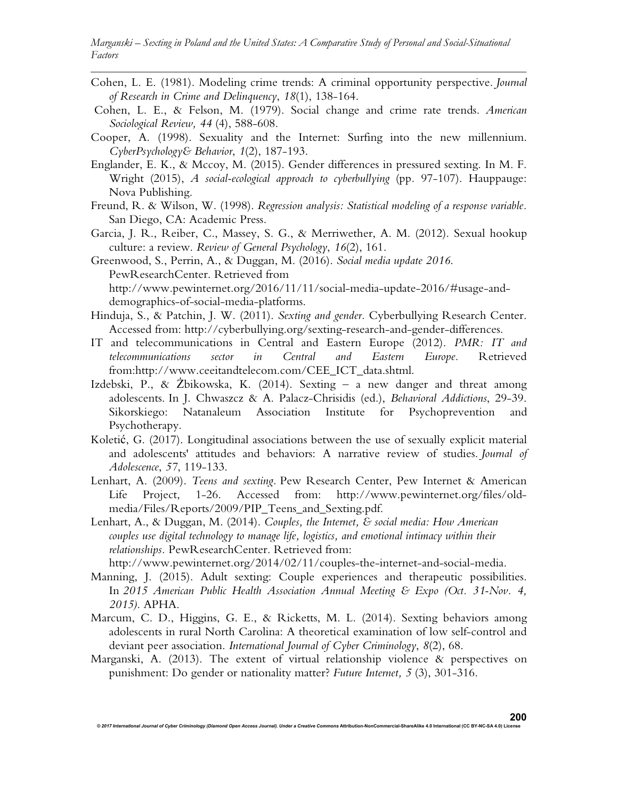*Marganski – Sexting in Poland and the United States: A Comparative Study of Personal and Social-Situational Factors*

- Cohen, L. E. (1981). Modeling crime trends: A criminal opportunity perspective. *Journal of Research in Crime and Delinquency*, *18*(1), 138-164.
- Cohen, L. E., & Felson, M. (1979). Social change and crime rate trends. *American Sociological Review, 44* (4), 588-608.
- Cooper, A. (1998). Sexuality and the Internet: Surfing into the new millennium. *CyberPsychology& Behavior*, *1*(2), 187-193.
- Englander, E. K., & Mccoy, M. (2015). Gender differences in pressured sexting. In M. F. Wright (2015), *A social-ecological approach to cyberbullying* (pp*.* 97-107). Hauppauge: Nova Publishing.
- Freund, R. & Wilson, W. (1998). *Regression analysis: Statistical modeling of a response variable.* San Diego, CA: Academic Press.
- Garcia, J. R., Reiber, C., Massey, S. G., & Merriwether, A. M. (2012). Sexual hookup culture: a review. *Review of General Psychology*, *16*(2), 161.
- Greenwood, S., Perrin, A., & Duggan, M. (2016). *Social media update 2016*. PewResearchCenter. Retrieved from http://www.pewinternet.org/2016/11/11/social-media-update-2016/#usage-anddemographics-of-social-media-platforms.
- Hinduja, S., & Patchin, J. W. (2011). *Sexting and gender.* Cyberbullying Research Center. Accessed from: http://cyberbullying.org/sexting-research-and-gender-differences.
- IT and telecommunications in Central and Eastern Europe (2012). *PMR: IT and telecommunications sector in Central and Eastern Europe.* Retrieved from:http://www.ceeitandtelecom.com/CEE\_ICT\_data.shtml.
- Izdebski, P., & Żbikowska, K. (2014). Sexting a new danger and threat among adolescents. In J. Chwaszcz & A. Palacz-Chrisidis (ed.), *Behavioral Addictions*, 29-39. Sikorskiego: Natanaleum Association Institute for Psychoprevention and Psychotherapy.
- Koletić, G. (2017). Longitudinal associations between the use of sexually explicit material and adolescents' attitudes and behaviors: A narrative review of studies. *Journal of Adolescence*, *57*, 119-133.
- Lenhart, A. (2009). *Teens and sexting.* Pew Research Center, Pew Internet & American Life Project, 1-26. Accessed from: http://www.pewinternet.org/files/oldmedia/Files/Reports/2009/PIP\_Teens\_and\_Sexting.pdf.
- Lenhart, A., & Duggan, M. (2014). *Couples, the Internet, & social media: How American couples use digital technology to manage life, logistics, and emotional intimacy within their relationships.* PewResearchCenter. Retrieved from:

http://www.pewinternet.org/2014/02/11/couples-the-internet-and-social-media.

- Manning, J. (2015). Adult sexting: Couple experiences and therapeutic possibilities. In *2015 American Public Health Association Annual Meeting & Expo (Oct. 31-Nov. 4, 2015)*. APHA.
- Marcum, C. D., Higgins, G. E., & Ricketts, M. L. (2014). Sexting behaviors among adolescents in rural North Carolina: A theoretical examination of low self-control and deviant peer association. *International Journal of Cyber Criminology*, *8*(2), 68.
- Marganski, A. (2013). The extent of virtual relationship violence & perspectives on punishment: Do gender or nationality matter? *Future Internet, 5* (3), 301-316.

*© 2017 International Journal of Cyber Criminology (Diamond Open Access Journal). Under a Creative Commons* **Attribution-NonCommercial-ShareAlike 4.0 International (CC BY-NC-SA 4.0) License**

**200**